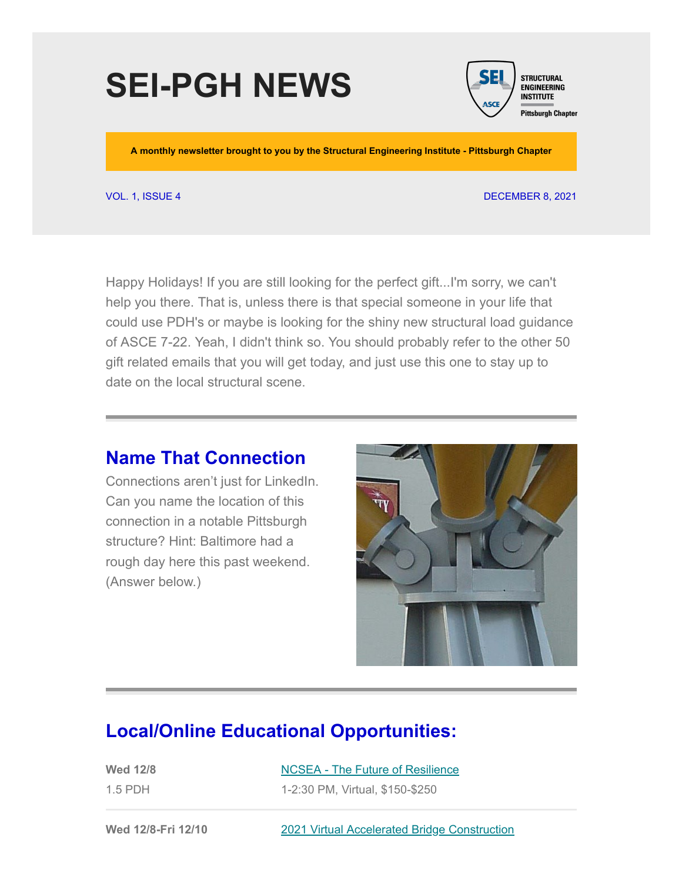# **SEI-PGH NEWS**



**A monthly newsletter brought to you by the Structural Engineering Institute - Pittsburgh Chapter**

#### VOL. 1, ISSUE 4 DECEMBER 8, 2021

Happy Holidays! If you are still looking for the perfect gift...I'm sorry, we can't help you there. That is, unless there is that special someone in your life that could use PDH's or maybe is looking for the shiny new structural load guidance of ASCE 7-22. Yeah, I didn't think so. You should probably refer to the other 50 gift related emails that you will get today, and just use this one to stay up to date on the local structural scene.

#### **Name That Connection**

Connections aren't just for LinkedIn. Can you name the location of this connection in a notable Pittsburgh structure? Hint: Baltimore had a rough day here this past weekend. (Answer below.)



#### **Local/Online Educational Opportunities:**

| <b>Wed 12/8</b> | NCSEA - The Future of Resilience |
|-----------------|----------------------------------|
| $1.5$ PDH       | 1-2:30 PM, Virtual, \$150-\$250  |

**Wed 12/8-Fri 12/10** 2021 [Virtual Accelerated Bridge Construction](https://abc-utc.fiu.edu/conference/)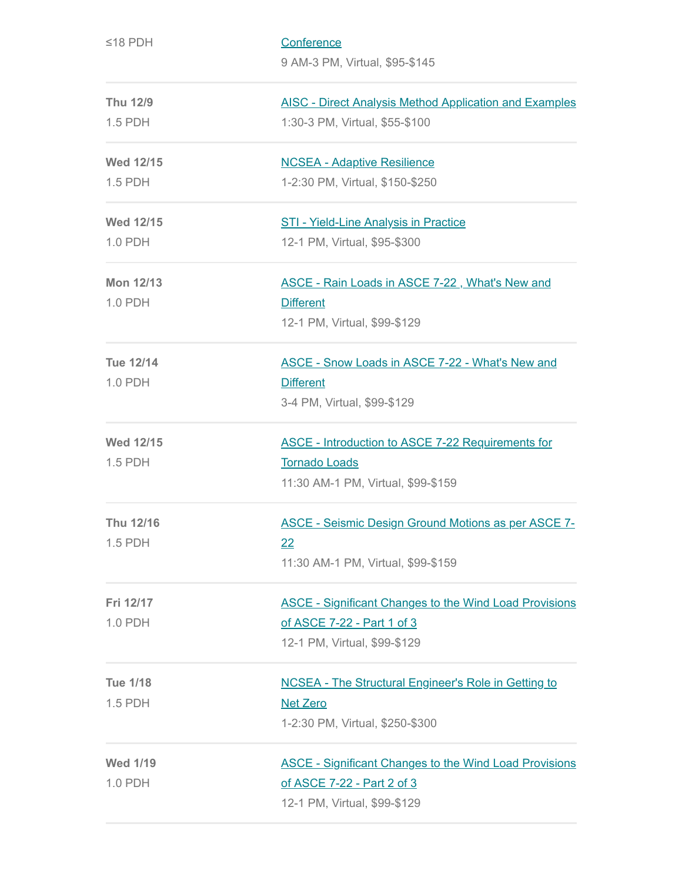| $≤18$ PDH                   | Conference<br>9 AM-3 PM, Virtual, \$95-\$145                                                                                |
|-----------------------------|-----------------------------------------------------------------------------------------------------------------------------|
| <b>Thu 12/9</b><br>1.5 PDH  | <b>AISC - Direct Analysis Method Application and Examples</b><br>1:30-3 PM, Virtual, \$55-\$100                             |
| <b>Wed 12/15</b><br>1.5 PDH | <b>NCSEA - Adaptive Resilience</b><br>1-2:30 PM, Virtual, \$150-\$250                                                       |
| <b>Wed 12/15</b><br>1.0 PDH | <b>STI - Yield-Line Analysis in Practice</b><br>12-1 PM, Virtual, \$95-\$300                                                |
| <b>Mon 12/13</b><br>1.0 PDH | ASCE - Rain Loads in ASCE 7-22, What's New and<br><b>Different</b><br>12-1 PM, Virtual, \$99-\$129                          |
| <b>Tue 12/14</b><br>1.0 PDH | <b>ASCE - Snow Loads in ASCE 7-22 - What's New and</b><br><b>Different</b><br>3-4 PM, Virtual, \$99-\$129                   |
| <b>Wed 12/15</b><br>1.5 PDH | <b>ASCE - Introduction to ASCE 7-22 Requirements for</b><br><b>Tornado Loads</b><br>11:30 AM-1 PM, Virtual, \$99-\$159      |
| Thu 12/16<br>1.5 PDH        | ASCE - Seismic Design Ground Motions as per ASCE 7-<br>22<br>11:30 AM-1 PM, Virtual, \$99-\$159                             |
| Fri 12/17<br>1.0 PDH        | <b>ASCE - Significant Changes to the Wind Load Provisions</b><br>of ASCE 7-22 - Part 1 of 3<br>12-1 PM, Virtual, \$99-\$129 |
| <b>Tue 1/18</b><br>1.5 PDH  | <b>NCSEA - The Structural Engineer's Role in Getting to</b><br><b>Net Zero</b><br>1-2:30 PM, Virtual, \$250-\$300           |
| <b>Wed 1/19</b><br>1.0 PDH  | <b>ASCE - Significant Changes to the Wind Load Provisions</b><br>of ASCE 7-22 - Part 2 of 3<br>12-1 PM, Virtual, \$99-\$129 |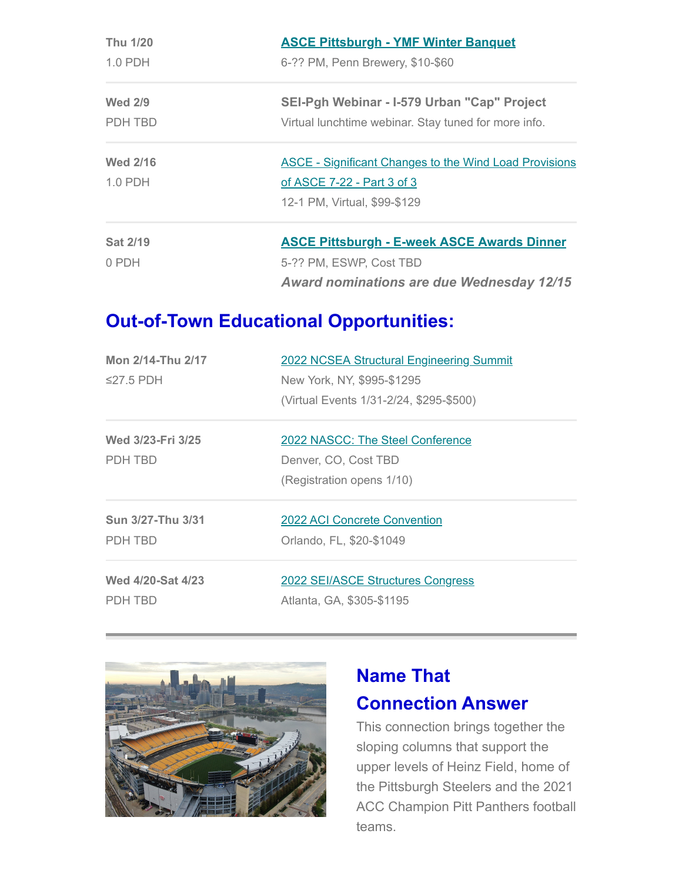| Thu 1/20<br>$1.0$ PDH | <b>ASCE Pittsburgh - YMF Winter Banquet</b>                   |  |  |
|-----------------------|---------------------------------------------------------------|--|--|
|                       | 6-?? PM, Penn Brewery, \$10-\$60                              |  |  |
| <b>Wed 2/9</b>        | SEI-Pgh Webinar - I-579 Urban "Cap" Project                   |  |  |
| PDH TBD               | Virtual lunchtime webinar. Stay tuned for more info.          |  |  |
| <b>Wed 2/16</b>       | <b>ASCE - Significant Changes to the Wind Load Provisions</b> |  |  |
| $1.0$ PDH             | of ASCE 7-22 - Part 3 of 3                                    |  |  |
|                       | 12-1 PM, Virtual, \$99-\$129                                  |  |  |
| <b>Sat 2/19</b>       | <b>ASCE Pittsburgh - E-week ASCE Awards Dinner</b>            |  |  |
| 0 PDH                 | 5-?? PM, ESWP, Cost TBD                                       |  |  |
|                       | <b>Award nominations are due Wednesday 12/15</b>              |  |  |

### **Out-of-Town Educational Opportunities:**

| Mon 2/14-Thu 2/17 | <b>2022 NCSEA Structural Engineering Summit</b><br>New York, NY, \$995-\$1295 |  |
|-------------------|-------------------------------------------------------------------------------|--|
| $\leq$ 27.5 PDH   |                                                                               |  |
|                   | (Virtual Events 1/31-2/24, \$295-\$500)                                       |  |
| Wed 3/23-Fri 3/25 | 2022 NASCC: The Steel Conference                                              |  |
| PDH TBD           | Denver, CO, Cost TBD                                                          |  |
|                   | (Registration opens 1/10)                                                     |  |
| Sun 3/27-Thu 3/31 | 2022 ACI Concrete Convention                                                  |  |
| PDH TBD           | Orlando, FL, \$20-\$1049                                                      |  |
| Wed 4/20-Sat 4/23 | 2022 SEI/ASCE Structures Congress                                             |  |
| PDH TBD           | Atlanta, GA, \$305-\$1195                                                     |  |



## **Name That Connection Answer**

This connection brings together the sloping columns that support the upper levels of Heinz Field, home of the Pittsburgh Steelers and the 2021 ACC Champion Pitt Panthers football teams.